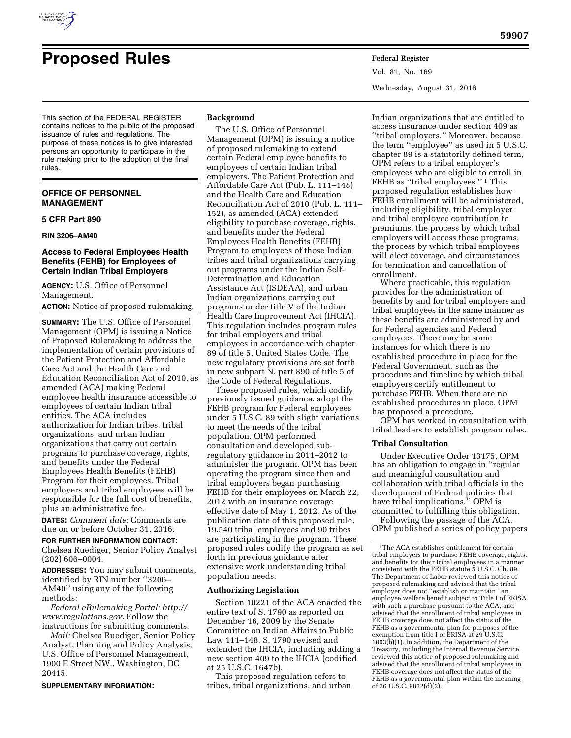

# **Proposed Rules Federal Register**

This section of the FEDERAL REGISTER contains notices to the public of the proposed issuance of rules and regulations. The purpose of these notices is to give interested persons an opportunity to participate in the rule making prior to the adoption of the final rules.

## **OFFICE OF PERSONNEL MANAGEMENT**

#### **5 CFR Part 890**

#### **RIN 3206–AM40**

## **Access to Federal Employees Health Benefits (FEHB) for Employees of Certain Indian Tribal Employers**

**AGENCY:** U.S. Office of Personnel Management.

**ACTION:** Notice of proposed rulemaking.

**SUMMARY:** The U.S. Office of Personnel Management (OPM) is issuing a Notice of Proposed Rulemaking to address the implementation of certain provisions of the Patient Protection and Affordable Care Act and the Health Care and Education Reconciliation Act of 2010, as amended (ACA) making Federal employee health insurance accessible to employees of certain Indian tribal entities. The ACA includes authorization for Indian tribes, tribal organizations, and urban Indian organizations that carry out certain programs to purchase coverage, rights, and benefits under the Federal Employees Health Benefits (FEHB) Program for their employees. Tribal employers and tribal employees will be responsible for the full cost of benefits, plus an administrative fee.

**DATES:** *Comment date:* Comments are due on or before October 31, 2016.

#### **FOR FURTHER INFORMATION CONTACT:**

Chelsea Ruediger, Senior Policy Analyst (202) 606–0004.

**ADDRESSES:** You may submit comments, identified by RIN number ''3206– AM40'' using any of the following methods:

*Federal eRulemaking Portal: [http://](http://www.regulations.gov) [www.regulations.gov.](http://www.regulations.gov)* Follow the instructions for submitting comments.

*Mail:* Chelsea Ruediger, Senior Policy Analyst, Planning and Policy Analysis, U.S. Office of Personnel Management, 1900 E Street NW., Washington, DC 20415.

#### **SUPPLEMENTARY INFORMATION:**

#### **Background**

The U.S. Office of Personnel Management (OPM) is issuing a notice of proposed rulemaking to extend certain Federal employee benefits to employees of certain Indian tribal employers. The Patient Protection and Affordable Care Act (Pub. L. 111–148) and the Health Care and Education Reconciliation Act of 2010 (Pub. L. 111– 152), as amended (ACA) extended eligibility to purchase coverage, rights, and benefits under the Federal Employees Health Benefits (FEHB) Program to employees of those Indian tribes and tribal organizations carrying out programs under the Indian Self-Determination and Education Assistance Act (ISDEAA), and urban Indian organizations carrying out programs under title V of the Indian Health Care Improvement Act (IHCIA). This regulation includes program rules for tribal employers and tribal employees in accordance with chapter 89 of title 5, United States Code. The new regulatory provisions are set forth in new subpart N, part 890 of title 5 of the Code of Federal Regulations.

These proposed rules, which codify previously issued guidance, adopt the FEHB program for Federal employees under 5 U.S.C. 89 with slight variations to meet the needs of the tribal population. OPM performed consultation and developed subregulatory guidance in 2011–2012 to administer the program. OPM has been operating the program since then and tribal employers began purchasing FEHB for their employees on March 22, 2012 with an insurance coverage effective date of May 1, 2012. As of the publication date of this proposed rule, 19,540 tribal employees and 90 tribes are participating in the program. These proposed rules codify the program as set forth in previous guidance after extensive work understanding tribal population needs.

## **Authorizing Legislation**

Section 10221 of the ACA enacted the entire text of S. 1790 as reported on December 16, 2009 by the Senate Committee on Indian Affairs to Public Law 111–148. S. 1790 revised and extended the IHCIA, including adding a new section 409 to the IHCIA (codified at 25 U.S.C. 1647b).

This proposed regulation refers to tribes, tribal organizations, and urban Vol. 81, No. 169 Wednesday, August 31, 2016

Indian organizations that are entitled to access insurance under section 409 as ''tribal employers.'' Moreover, because the term ''employee'' as used in 5 U.S.C. chapter 89 is a statutorily defined term, OPM refers to a tribal employer's employees who are eligible to enroll in FEHB as "tribal employees."<sup>1</sup> This proposed regulation establishes how FEHB enrollment will be administered, including eligibility, tribal employer and tribal employee contribution to premiums, the process by which tribal employers will access these programs, the process by which tribal employees will elect coverage, and circumstances for termination and cancellation of enrollment.

Where practicable, this regulation provides for the administration of benefits by and for tribal employers and tribal employees in the same manner as these benefits are administered by and for Federal agencies and Federal employees. There may be some instances for which there is no established procedure in place for the Federal Government, such as the procedure and timeline by which tribal employers certify entitlement to purchase FEHB. When there are no established procedures in place, OPM has proposed a procedure.

OPM has worked in consultation with tribal leaders to establish program rules.

## **Tribal Consultation**

Under Executive Order 13175, OPM has an obligation to engage in ''regular and meaningful consultation and collaboration with tribal officials in the development of Federal policies that have tribal implications.'' OPM is committed to fulfilling this obligation.

Following the passage of the ACA, OPM published a series of policy papers

<sup>1</sup>The ACA establishes entitlement for certain tribal employers to purchase FEHB coverage, rights, and benefits for their tribal employees in a manner consistent with the FEHB statute 5 U.S.C. Ch. 89. The Department of Labor reviewed this notice of proposed rulemaking and advised that the tribal employer does not ''establish or maintain'' an employee welfare benefit subject to Title I of ERISA with such a purchase pursuant to the ACA, and advised that the enrollment of tribal employees in FEHB coverage does not affect the status of the FEHB as a governmental plan for purposes of the exemption from title I of ERISA at 29 U.S.C.  $1003(\hat{b})(1)$ . In addition, the Department of the Treasury, including the Internal Revenue Service, reviewed this notice of proposed rulemaking and advised that the enrollment of tribal employees in FEHB coverage does not affect the status of the FEHB as a governmental plan within the meaning of 26 U.S.C. 9832(d)(2).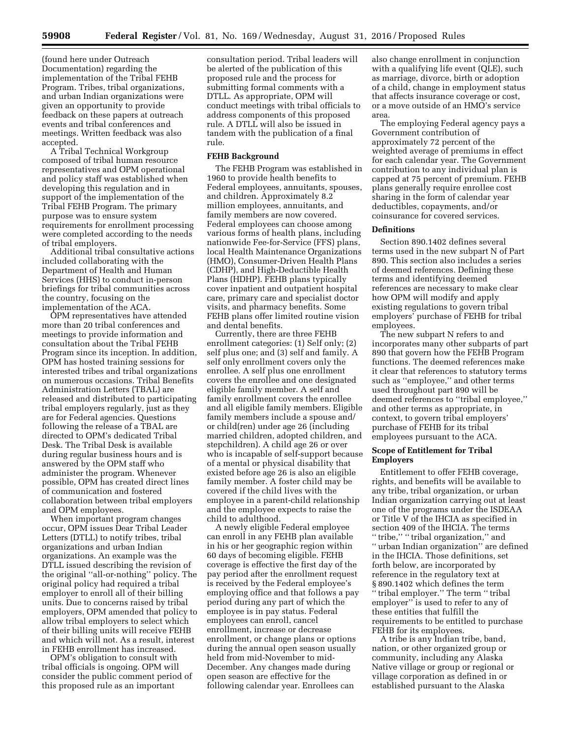(found here under Outreach Documentation) regarding the implementation of the Tribal FEHB Program. Tribes, tribal organizations, and urban Indian organizations were given an opportunity to provide feedback on these papers at outreach events and tribal conferences and meetings. Written feedback was also accepted.

A Tribal Technical Workgroup composed of tribal human resource representatives and OPM operational and policy staff was established when developing this regulation and in support of the implementation of the Tribal FEHB Program. The primary purpose was to ensure system requirements for enrollment processing were completed according to the needs of tribal employers.

Additional tribal consultative actions included collaborating with the Department of Health and Human Services (HHS) to conduct in-person briefings for tribal communities across the country, focusing on the implementation of the ACA.

OPM representatives have attended more than 20 tribal conferences and meetings to provide information and consultation about the Tribal FEHB Program since its inception. In addition, OPM has hosted training sessions for interested tribes and tribal organizations on numerous occasions. Tribal Benefits Administration Letters (TBAL) are released and distributed to participating tribal employers regularly, just as they are for Federal agencies. Questions following the release of a TBAL are directed to OPM's dedicated Tribal Desk. The Tribal Desk is available during regular business hours and is answered by the OPM staff who administer the program. Whenever possible, OPM has created direct lines of communication and fostered collaboration between tribal employers and OPM employees.

When important program changes occur, OPM issues Dear Tribal Leader Letters (DTLL) to notify tribes, tribal organizations and urban Indian organizations. An example was the DTLL issued describing the revision of the original ''all-or-nothing'' policy. The original policy had required a tribal employer to enroll all of their billing units. Due to concerns raised by tribal employers, OPM amended that policy to allow tribal employers to select which of their billing units will receive FEHB and which will not. As a result, interest in FEHB enrollment has increased.

OPM's obligation to consult with tribal officials is ongoing. OPM will consider the public comment period of this proposed rule as an important

consultation period. Tribal leaders will be alerted of the publication of this proposed rule and the process for submitting formal comments with a DTLL. As appropriate, OPM will conduct meetings with tribal officials to address components of this proposed rule. A DTLL will also be issued in tandem with the publication of a final rule.

#### **FEHB Background**

The FEHB Program was established in 1960 to provide health benefits to Federal employees, annuitants, spouses, and children. Approximately 8.2 million employees, annuitants, and family members are now covered. Federal employees can choose among various forms of health plans, including nationwide Fee-for-Service (FFS) plans, local Health Maintenance Organizations (HMO), Consumer-Driven Health Plans (CDHP), and High-Deductible Health Plans (HDHP). FEHB plans typically cover inpatient and outpatient hospital care, primary care and specialist doctor visits, and pharmacy benefits. Some FEHB plans offer limited routine vision and dental benefits.

Currently, there are three FEHB enrollment categories: (1) Self only; (2) self plus one; and (3) self and family. A self only enrollment covers only the enrollee. A self plus one enrollment covers the enrollee and one designated eligible family member. A self and family enrollment covers the enrollee and all eligible family members. Eligible family members include a spouse and/ or child(ren) under age 26 (including married children, adopted children, and stepchildren). A child age 26 or over who is incapable of self-support because of a mental or physical disability that existed before age 26 is also an eligible family member. A foster child may be covered if the child lives with the employee in a parent-child relationship and the employee expects to raise the child to adulthood.

A newly eligible Federal employee can enroll in any FEHB plan available in his or her geographic region within 60 days of becoming eligible. FEHB coverage is effective the first day of the pay period after the enrollment request is received by the Federal employee's employing office and that follows a pay period during any part of which the employee is in pay status. Federal employees can enroll, cancel enrollment, increase or decrease enrollment, or change plans or options during the annual open season usually held from mid-November to mid-December. Any changes made during open season are effective for the following calendar year. Enrollees can

also change enrollment in conjunction with a qualifying life event (QLE), such as marriage, divorce, birth or adoption of a child, change in employment status that affects insurance coverage or cost, or a move outside of an HMO's service area.

The employing Federal agency pays a Government contribution of approximately 72 percent of the weighted average of premiums in effect for each calendar year. The Government contribution to any individual plan is capped at 75 percent of premium. FEHB plans generally require enrollee cost sharing in the form of calendar year deductibles, copayments, and/or coinsurance for covered services.

## **Definitions**

Section 890.1402 defines several terms used in the new subpart N of Part 890. This section also includes a series of deemed references. Defining these terms and identifying deemed references are necessary to make clear how OPM will modify and apply existing regulations to govern tribal employers' purchase of FEHB for tribal employees.

The new subpart N refers to and incorporates many other subparts of part 890 that govern how the FEHB Program functions. The deemed references make it clear that references to statutory terms such as ''employee,'' and other terms used throughout part 890 will be deemed references to ''tribal employee,'' and other terms as appropriate, in context, to govern tribal employers' purchase of FEHB for its tribal employees pursuant to the ACA.

## **Scope of Entitlement for Tribal Employers**

Entitlement to offer FEHB coverage, rights, and benefits will be available to any tribe, tribal organization, or urban Indian organization carrying out at least one of the programs under the ISDEAA or Title V of the IHCIA as specified in section 409 of the IHCIA. The terms '' tribe,'' '' tribal organization,'' and '' urban Indian organization'' are defined in the IHCIA. Those definitions, set forth below, are incorporated by reference in the regulatory text at § 890.1402 which defines the term '' tribal employer.'' The term '' tribal employer'' is used to refer to any of these entities that fulfill the requirements to be entitled to purchase FEHB for its employees.

A tribe is any Indian tribe, band, nation, or other organized group or community, including any Alaska Native village or group or regional or village corporation as defined in or established pursuant to the Alaska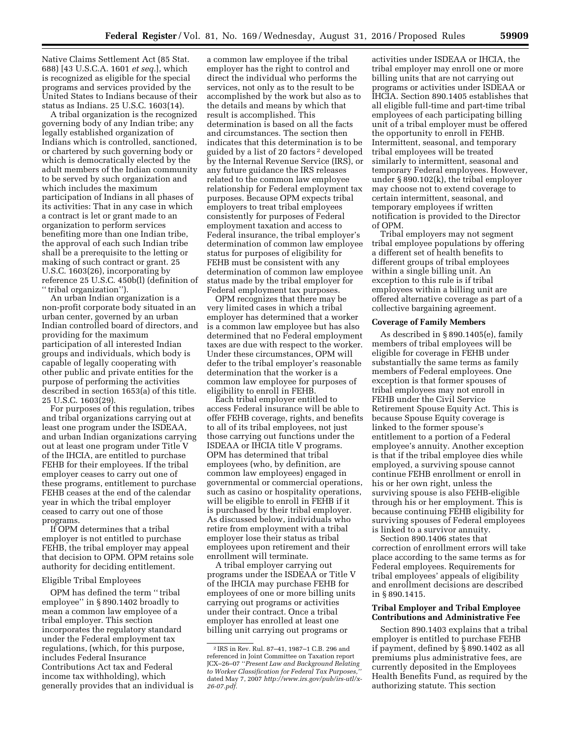Native Claims Settlement Act (85 Stat. 688) [43 U.S.C.A. 1601 *et seq.*], which is recognized as eligible for the special programs and services provided by the United States to Indians because of their status as Indians. 25 U.S.C. 1603(14).

A tribal organization is the recognized governing body of any Indian tribe; any legally established organization of Indians which is controlled, sanctioned, or chartered by such governing body or which is democratically elected by the adult members of the Indian community to be served by such organization and which includes the maximum participation of Indians in all phases of its activities: That in any case in which a contract is let or grant made to an organization to perform services benefiting more than one Indian tribe, the approval of each such Indian tribe shall be a prerequisite to the letting or making of such contract or grant. 25 U.S.C. 1603(26), incorporating by reference 25 U.S.C. 450b(l) (definition of '' tribal organization'').

An urban Indian organization is a non-profit corporate body situated in an urban center, governed by an urban Indian controlled board of directors, and providing for the maximum participation of all interested Indian groups and individuals, which body is capable of legally cooperating with other public and private entities for the purpose of performing the activities described in section 1653(a) of this title. 25 U.S.C. 1603(29).

For purposes of this regulation, tribes and tribal organizations carrying out at least one program under the ISDEAA, and urban Indian organizations carrying out at least one program under Title V of the IHCIA, are entitled to purchase FEHB for their employees. If the tribal employer ceases to carry out one of these programs, entitlement to purchase FEHB ceases at the end of the calendar year in which the tribal employer ceased to carry out one of those programs.

If OPM determines that a tribal employer is not entitled to purchase FEHB, the tribal employer may appeal that decision to OPM. OPM retains sole authority for deciding entitlement.

#### Eligible Tribal Employees

OPM has defined the term '' tribal employee'' in § 890.1402 broadly to mean a common law employee of a tribal employer. This section incorporates the regulatory standard under the Federal employment tax regulations, (which, for this purpose, includes Federal Insurance Contributions Act tax and Federal income tax withholding), which generally provides that an individual is

a common law employee if the tribal employer has the right to control and direct the individual who performs the services, not only as to the result to be accomplished by the work but also as to the details and means by which that result is accomplished. This determination is based on all the facts and circumstances. The section then indicates that this determination is to be guided by a list of 20 factors 2 developed by the Internal Revenue Service (IRS), or any future guidance the IRS releases related to the common law employee relationship for Federal employment tax purposes. Because OPM expects tribal employers to treat tribal employees consistently for purposes of Federal employment taxation and access to Federal insurance, the tribal employer's determination of common law employee status for purposes of eligibility for FEHB must be consistent with any determination of common law employee status made by the tribal employer for Federal employment tax purposes.

OPM recognizes that there may be very limited cases in which a tribal employer has determined that a worker is a common law employee but has also determined that no Federal employment taxes are due with respect to the worker. Under these circumstances, OPM will defer to the tribal employer's reasonable determination that the worker is a common law employee for purposes of eligibility to enroll in FEHB.

Each tribal employer entitled to access Federal insurance will be able to offer FEHB coverage, rights, and benefits to all of its tribal employees, not just those carrying out functions under the ISDEAA or IHCIA title V programs. OPM has determined that tribal employees (who, by definition, are common law employees) engaged in governmental or commercial operations, such as casino or hospitality operations, will be eligible to enroll in FEHB if it is purchased by their tribal employer. As discussed below, individuals who retire from employment with a tribal employer lose their status as tribal employees upon retirement and their enrollment will terminate.

A tribal employer carrying out programs under the ISDEAA or Title V of the IHCIA may purchase FEHB for employees of one or more billing units carrying out programs or activities under their contract. Once a tribal employer has enrolled at least one billing unit carrying out programs or

activities under ISDEAA or IHCIA, the tribal employer may enroll one or more billing units that are not carrying out programs or activities under ISDEAA or IHCIA. Section 890.1405 establishes that all eligible full-time and part-time tribal employees of each participating billing unit of a tribal employer must be offered the opportunity to enroll in FEHB. Intermittent, seasonal, and temporary tribal employees will be treated similarly to intermittent, seasonal and temporary Federal employees. However, under § 890.102(k), the tribal employer may choose not to extend coverage to certain intermittent, seasonal, and temporary employees if written notification is provided to the Director of OPM.

Tribal employers may not segment tribal employee populations by offering a different set of health benefits to different groups of tribal employees within a single billing unit. An exception to this rule is if tribal employees within a billing unit are offered alternative coverage as part of a collective bargaining agreement.

## **Coverage of Family Members**

As described in § 890.1405(e), family members of tribal employees will be eligible for coverage in FEHB under substantially the same terms as family members of Federal employees. One exception is that former spouses of tribal employees may not enroll in FEHB under the Civil Service Retirement Spouse Equity Act. This is because Spouse Equity coverage is linked to the former spouse's entitlement to a portion of a Federal employee's annuity. Another exception is that if the tribal employee dies while employed, a surviving spouse cannot continue FEHB enrollment or enroll in his or her own right, unless the surviving spouse is also FEHB-eligible through his or her employment. This is because continuing FEHB eligibility for surviving spouses of Federal employees is linked to a survivor annuity.

Section 890.1406 states that correction of enrollment errors will take place according to the same terms as for Federal employees. Requirements for tribal employees' appeals of eligibility and enrollment decisions are described in § 890.1415.

## **Tribal Employer and Tribal Employee Contributions and Administrative Fee**

Section 890.1403 explains that a tribal employer is entitled to purchase FEHB if payment, defined by § 890.1402 as all premiums plus administrative fees, are currently deposited in the Employees Health Benefits Fund, as required by the authorizing statute. This section

<sup>2</sup> IRS in Rev. Rul. 87–41, 1987–1 C.B. 296 and referenced in Joint Committee on Taxation report JCX–26–07 ''*Present Law and Background Relating to Worker Classification for Federal Tax Purposes,''*  dated May 7, 2007 *[http://www.irs.gov/pub/irs-utl/x-](http://www.irs.gov/pub/irs-utl/x-26-07.pdf)[26-07.pdf.](http://www.irs.gov/pub/irs-utl/x-26-07.pdf)*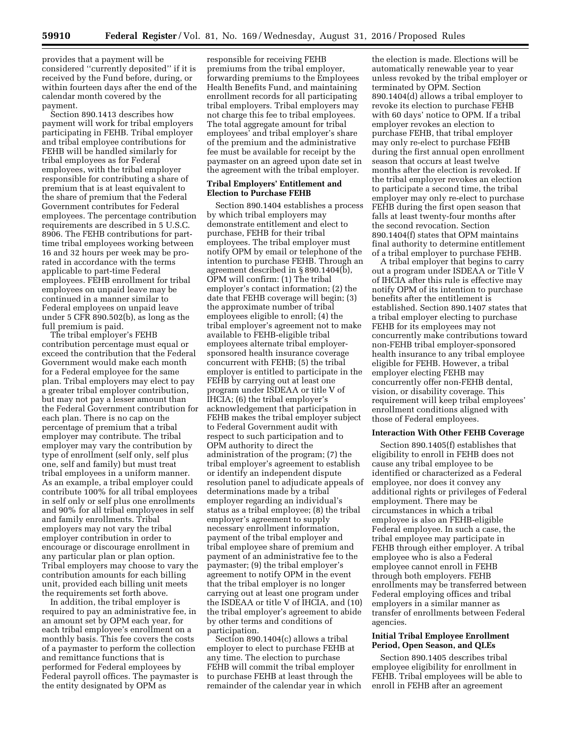provides that a payment will be considered ''currently deposited'' if it is received by the Fund before, during, or within fourteen days after the end of the calendar month covered by the payment.

Section 890.1413 describes how payment will work for tribal employers participating in FEHB. Tribal employer and tribal employee contributions for FEHB will be handled similarly for tribal employees as for Federal employees, with the tribal employer responsible for contributing a share of premium that is at least equivalent to the share of premium that the Federal Government contributes for Federal employees. The percentage contribution requirements are described in 5 U.S.C. 8906. The FEHB contributions for parttime tribal employees working between 16 and 32 hours per week may be prorated in accordance with the terms applicable to part-time Federal employees. FEHB enrollment for tribal employees on unpaid leave may be continued in a manner similar to Federal employees on unpaid leave under 5 CFR 890.502(b), as long as the full premium is paid.

The tribal employer's FEHB contribution percentage must equal or exceed the contribution that the Federal Government would make each month for a Federal employee for the same plan. Tribal employers may elect to pay a greater tribal employer contribution, but may not pay a lesser amount than the Federal Government contribution for each plan. There is no cap on the percentage of premium that a tribal employer may contribute. The tribal employer may vary the contribution by type of enrollment (self only, self plus one, self and family) but must treat tribal employees in a uniform manner. As an example, a tribal employer could contribute 100% for all tribal employees in self only or self plus one enrollments and 90% for all tribal employees in self and family enrollments. Tribal employers may not vary the tribal employer contribution in order to encourage or discourage enrollment in any particular plan or plan option. Tribal employers may choose to vary the contribution amounts for each billing unit, provided each billing unit meets the requirements set forth above.

In addition, the tribal employer is required to pay an administrative fee, in an amount set by OPM each year, for each tribal employee's enrollment on a monthly basis. This fee covers the costs of a paymaster to perform the collection and remittance functions that is performed for Federal employees by Federal payroll offices. The paymaster is the entity designated by OPM as

responsible for receiving FEHB premiums from the tribal employer, forwarding premiums to the Employees Health Benefits Fund, and maintaining enrollment records for all participating tribal employers. Tribal employers may not charge this fee to tribal employees. The total aggregate amount for tribal employees' and tribal employer's share of the premium and the administrative fee must be available for receipt by the paymaster on an agreed upon date set in the agreement with the tribal employer.

## **Tribal Employers' Entitlement and Election to Purchase FEHB**

Section 890.1404 establishes a process by which tribal employers may demonstrate entitlement and elect to purchase, FEHB for their tribal employees. The tribal employer must notify OPM by email or telephone of the intention to purchase FEHB. Through an agreement described in § 890.1404(b), OPM will confirm: (1) The tribal employer's contact information; (2) the date that FEHB coverage will begin; (3) the approximate number of tribal employees eligible to enroll; (4) the tribal employer's agreement not to make available to FEHB-eligible tribal employees alternate tribal employersponsored health insurance coverage concurrent with FEHB; (5) the tribal employer is entitled to participate in the FEHB by carrying out at least one program under ISDEAA or title V of IHCIA; (6) the tribal employer's acknowledgement that participation in FEHB makes the tribal employer subject to Federal Government audit with respect to such participation and to OPM authority to direct the administration of the program; (7) the tribal employer's agreement to establish or identify an independent dispute resolution panel to adjudicate appeals of determinations made by a tribal employer regarding an individual's status as a tribal employee; (8) the tribal employer's agreement to supply necessary enrollment information, payment of the tribal employer and tribal employee share of premium and payment of an administrative fee to the paymaster; (9) the tribal employer's agreement to notify OPM in the event that the tribal employer is no longer carrying out at least one program under the ISDEAA or title V of IHCIA, and (10) the tribal employer's agreement to abide by other terms and conditions of participation.

Section 890.1404(c) allows a tribal employer to elect to purchase FEHB at any time. The election to purchase FEHB will commit the tribal employer to purchase FEHB at least through the remainder of the calendar year in which

the election is made. Elections will be automatically renewable year to year unless revoked by the tribal employer or terminated by OPM. Section 890.1404(d) allows a tribal employer to revoke its election to purchase FEHB with 60 days' notice to OPM. If a tribal employer revokes an election to purchase FEHB, that tribal employer may only re-elect to purchase FEHB during the first annual open enrollment season that occurs at least twelve months after the election is revoked. If the tribal employer revokes an election to participate a second time, the tribal employer may only re-elect to purchase FEHB during the first open season that falls at least twenty-four months after the second revocation. Section 890.1404(f) states that OPM maintains final authority to determine entitlement of a tribal employer to purchase FEHB.

A tribal employer that begins to carry out a program under ISDEAA or Title V of IHCIA after this rule is effective may notify OPM of its intention to purchase benefits after the entitlement is established. Section 890.1407 states that a tribal employer electing to purchase FEHB for its employees may not concurrently make contributions toward non-FEHB tribal employer-sponsored health insurance to any tribal employee eligible for FEHB. However, a tribal employer electing FEHB may concurrently offer non-FEHB dental, vision, or disability coverage. This requirement will keep tribal employees' enrollment conditions aligned with those of Federal employees.

#### **Interaction With Other FEHB Coverage**

Section 890.1405(f) establishes that eligibility to enroll in FEHB does not cause any tribal employee to be identified or characterized as a Federal employee, nor does it convey any additional rights or privileges of Federal employment. There may be circumstances in which a tribal employee is also an FEHB-eligible Federal employee. In such a case, the tribal employee may participate in FEHB through either employer. A tribal employee who is also a Federal employee cannot enroll in FEHB through both employers. FEHB enrollments may be transferred between Federal employing offices and tribal employers in a similar manner as transfer of enrollments between Federal agencies.

## **Initial Tribal Employee Enrollment Period, Open Season, and QLEs**

Section 890.1405 describes tribal employee eligibility for enrollment in FEHB. Tribal employees will be able to enroll in FEHB after an agreement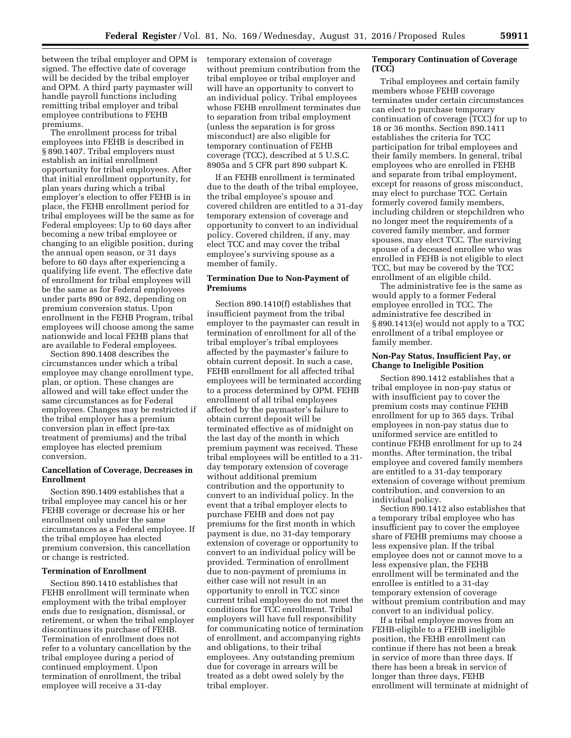between the tribal employer and OPM is signed. The effective date of coverage will be decided by the tribal employer and OPM. A third party paymaster will handle payroll functions including remitting tribal employer and tribal employee contributions to FEHB premiums.

The enrollment process for tribal employees into FEHB is described in § 890.1407. Tribal employers must establish an initial enrollment opportunity for tribal employees. After that initial enrollment opportunity, for plan years during which a tribal employer's election to offer FEHB is in place, the FEHB enrollment period for tribal employees will be the same as for Federal employees: Up to 60 days after becoming a new tribal employee or changing to an eligible position, during the annual open season, or 31 days before to 60 days after experiencing a qualifying life event. The effective date of enrollment for tribal employees will be the same as for Federal employees under parts 890 or 892, depending on premium conversion status. Upon enrollment in the FEHB Program, tribal employees will choose among the same nationwide and local FEHB plans that are available to Federal employees.

Section 890.1408 describes the circumstances under which a tribal employee may change enrollment type, plan, or option. These changes are allowed and will take effect under the same circumstances as for Federal employees. Changes may be restricted if the tribal employer has a premium conversion plan in effect (pre-tax treatment of premiums) and the tribal employee has elected premium conversion.

## **Cancellation of Coverage, Decreases in Enrollment**

Section 890.1409 establishes that a tribal employee may cancel his or her FEHB coverage or decrease his or her enrollment only under the same circumstances as a Federal employee. If the tribal employee has elected premium conversion, this cancellation or change is restricted.

#### **Termination of Enrollment**

Section 890.1410 establishes that FEHB enrollment will terminate when employment with the tribal employer ends due to resignation, dismissal, or retirement, or when the tribal employer discontinues its purchase of FEHB. Termination of enrollment does not refer to a voluntary cancellation by the tribal employee during a period of continued employment. Upon termination of enrollment, the tribal employee will receive a 31-day

temporary extension of coverage without premium contribution from the tribal employee or tribal employer and will have an opportunity to convert to an individual policy. Tribal employees whose FEHB enrollment terminates due to separation from tribal employment (unless the separation is for gross misconduct) are also eligible for temporary continuation of FEHB coverage (TCC), described at 5 U.S.C. 8905a and 5 CFR part 890 subpart K.

If an FEHB enrollment is terminated due to the death of the tribal employee, the tribal employee's spouse and covered children are entitled to a 31-day temporary extension of coverage and opportunity to convert to an individual policy. Covered children, if any, may elect TCC and may cover the tribal employee's surviving spouse as a member of family.

#### **Termination Due to Non-Payment of Premiums**

Section 890.1410(f) establishes that insufficient payment from the tribal employer to the paymaster can result in termination of enrollment for all of the tribal employer's tribal employees affected by the paymaster's failure to obtain current deposit. In such a case, FEHB enrollment for all affected tribal employees will be terminated according to a process determined by OPM. FEHB enrollment of all tribal employees affected by the paymaster's failure to obtain current deposit will be terminated effective as of midnight on the last day of the month in which premium payment was received. These tribal employees will be entitled to a 31 day temporary extension of coverage without additional premium contribution and the opportunity to convert to an individual policy. In the event that a tribal employer elects to purchase FEHB and does not pay premiums for the first month in which payment is due, no 31-day temporary extension of coverage or opportunity to convert to an individual policy will be provided. Termination of enrollment due to non-payment of premiums in either case will not result in an opportunity to enroll in TCC since current tribal employees do not meet the conditions for TCC enrollment. Tribal employers will have full responsibility for communicating notice of termination of enrollment, and accompanying rights and obligations, to their tribal employees. Any outstanding premium due for coverage in arrears will be treated as a debt owed solely by the tribal employer.

## **Temporary Continuation of Coverage (TCC)**

Tribal employees and certain family members whose FEHB coverage terminates under certain circumstances can elect to purchase temporary continuation of coverage (TCC) for up to 18 or 36 months. Section 890.1411 establishes the criteria for TCC participation for tribal employees and their family members. In general, tribal employees who are enrolled in FEHB and separate from tribal employment, except for reasons of gross misconduct, may elect to purchase TCC. Certain formerly covered family members, including children or stepchildren who no longer meet the requirements of a covered family member, and former spouses, may elect TCC. The surviving spouse of a deceased enrollee who was enrolled in FEHB is not eligible to elect TCC, but may be covered by the TCC enrollment of an eligible child.

The administrative fee is the same as would apply to a former Federal employee enrolled in TCC. The administrative fee described in § 890.1413(e) would not apply to a TCC enrollment of a tribal employee or family member.

#### **Non-Pay Status, Insufficient Pay, or Change to Ineligible Position**

Section 890.1412 establishes that a tribal employee in non-pay status or with insufficient pay to cover the premium costs may continue FEHB enrollment for up to 365 days. Tribal employees in non-pay status due to uniformed service are entitled to continue FEHB enrollment for up to 24 months. After termination, the tribal employee and covered family members are entitled to a 31-day temporary extension of coverage without premium contribution, and conversion to an individual policy.

Section 890.1412 also establishes that a temporary tribal employee who has insufficient pay to cover the employee share of FEHB premiums may choose a less expensive plan. If the tribal employee does not or cannot move to a less expensive plan, the FEHB enrollment will be terminated and the enrollee is entitled to a 31-day temporary extension of coverage without premium contribution and may convert to an individual policy.

If a tribal employee moves from an FEHB-eligible to a FEHB ineligible position, the FEHB enrollment can continue if there has not been a break in service of more than three days. If there has been a break in service of longer than three days, FEHB enrollment will terminate at midnight of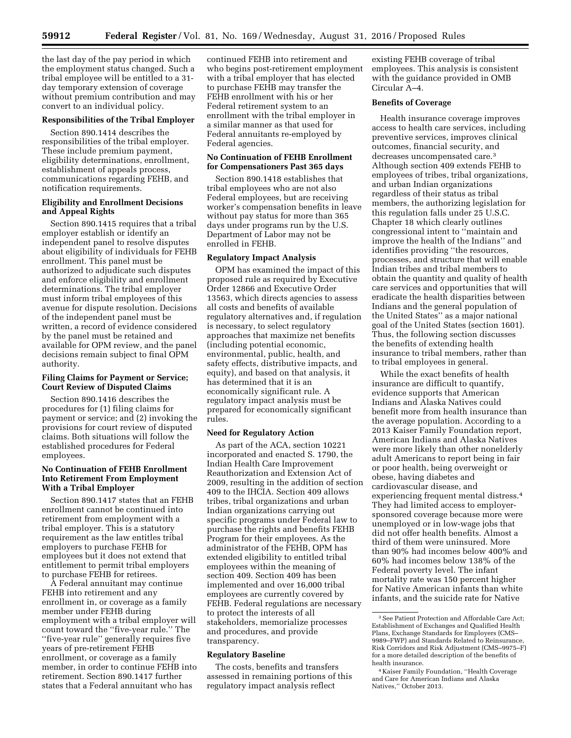the last day of the pay period in which the employment status changed. Such a tribal employee will be entitled to a 31 day temporary extension of coverage without premium contribution and may convert to an individual policy.

## **Responsibilities of the Tribal Employer**

Section 890.1414 describes the responsibilities of the tribal employer. These include premium payment, eligibility determinations, enrollment, establishment of appeals process, communications regarding FEHB, and notification requirements.

## **Eligibility and Enrollment Decisions and Appeal Rights**

Section 890.1415 requires that a tribal employer establish or identify an independent panel to resolve disputes about eligibility of individuals for FEHB enrollment. This panel must be authorized to adjudicate such disputes and enforce eligibility and enrollment determinations. The tribal employer must inform tribal employees of this avenue for dispute resolution. Decisions of the independent panel must be written, a record of evidence considered by the panel must be retained and available for OPM review, and the panel decisions remain subject to final OPM authority.

## **Filing Claims for Payment or Service; Court Review of Disputed Claims**

Section 890.1416 describes the procedures for (1) filing claims for payment or service; and (2) invoking the provisions for court review of disputed claims. Both situations will follow the established procedures for Federal employees.

## **No Continuation of FEHB Enrollment Into Retirement From Employment With a Tribal Employer**

Section 890.1417 states that an FEHB enrollment cannot be continued into retirement from employment with a tribal employer. This is a statutory requirement as the law entitles tribal employers to purchase FEHB for employees but it does not extend that entitlement to permit tribal employers to purchase FEHB for retirees.

A Federal annuitant may continue FEHB into retirement and any enrollment in, or coverage as a family member under FEHB during employment with a tribal employer will count toward the ''five-year rule.'' The ''five-year rule'' generally requires five years of pre-retirement FEHB enrollment, or coverage as a family member, in order to continue FEHB into retirement. Section 890.1417 further states that a Federal annuitant who has

continued FEHB into retirement and who begins post-retirement employment with a tribal employer that has elected to purchase FEHB may transfer the FEHB enrollment with his or her Federal retirement system to an enrollment with the tribal employer in a similar manner as that used for Federal annuitants re-employed by Federal agencies.

#### **No Continuation of FEHB Enrollment for Compensationers Past 365 days**

Section 890.1418 establishes that tribal employees who are not also Federal employees, but are receiving worker's compensation benefits in leave without pay status for more than 365 days under programs run by the U.S. Department of Labor may not be enrolled in FEHB.

## **Regulatory Impact Analysis**

OPM has examined the impact of this proposed rule as required by Executive Order 12866 and Executive Order 13563, which directs agencies to assess all costs and benefits of available regulatory alternatives and, if regulation is necessary, to select regulatory approaches that maximize net benefits (including potential economic, environmental, public, health, and safety effects, distributive impacts, and equity), and based on that analysis, it has determined that it is an economically significant rule. A regulatory impact analysis must be prepared for economically significant rules.

## **Need for Regulatory Action**

As part of the ACA, section 10221 incorporated and enacted S. 1790, the Indian Health Care Improvement Reauthorization and Extension Act of 2009, resulting in the addition of section 409 to the IHCIA. Section 409 allows tribes, tribal organizations and urban Indian organizations carrying out specific programs under Federal law to purchase the rights and benefits FEHB Program for their employees. As the administrator of the FEHB, OPM has extended eligibility to entitled tribal employees within the meaning of section 409. Section 409 has been implemented and over 16,000 tribal employees are currently covered by FEHB. Federal regulations are necessary to protect the interests of all stakeholders, memorialize processes and procedures, and provide transparency.

#### **Regulatory Baseline**

The costs, benefits and transfers assessed in remaining portions of this regulatory impact analysis reflect

existing FEHB coverage of tribal employees. This analysis is consistent with the guidance provided in OMB Circular A–4.

## **Benefits of Coverage**

Health insurance coverage improves access to health care services, including preventive services, improves clinical outcomes, financial security, and decreases uncompensated care.3 Although section 409 extends FEHB to employees of tribes, tribal organizations, and urban Indian organizations regardless of their status as tribal members, the authorizing legislation for this regulation falls under 25 U.S.C. Chapter 18 which clearly outlines congressional intent to ''maintain and improve the health of the Indians'' and identifies providing ''the resources, processes, and structure that will enable Indian tribes and tribal members to obtain the quantity and quality of health care services and opportunities that will eradicate the health disparities between Indians and the general population of the United States'' as a major national goal of the United States (section 1601). Thus, the following section discusses the benefits of extending health insurance to tribal members, rather than to tribal employees in general.

While the exact benefits of health insurance are difficult to quantify, evidence supports that American Indians and Alaska Natives could benefit more from health insurance than the average population. According to a 2013 Kaiser Family Foundation report, American Indians and Alaska Natives were more likely than other nonelderly adult Americans to report being in fair or poor health, being overweight or obese, having diabetes and cardiovascular disease, and experiencing frequent mental distress.4 They had limited access to employersponsored coverage because more were unemployed or in low-wage jobs that did not offer health benefits. Almost a third of them were uninsured. More than 90% had incomes below 400% and 60% had incomes below 138% of the Federal poverty level. The infant mortality rate was 150 percent higher for Native American infants than white infants, and the suicide rate for Native

<sup>3</sup>See Patient Protection and Affordable Care Act; Establishment of Exchanges and Qualified Health Plans, Exchange Standards for Employers (CMS– 9989–FWP) and Standards Related to Reinsurance, Risk Corridors and Risk Adjustment (CMS–9975–F) for a more detailed description of the benefits of health insurance.

<sup>4</sup> Kaiser Family Foundation, ''Health Coverage and Care for American Indians and Alaska Natives,'' October 2013.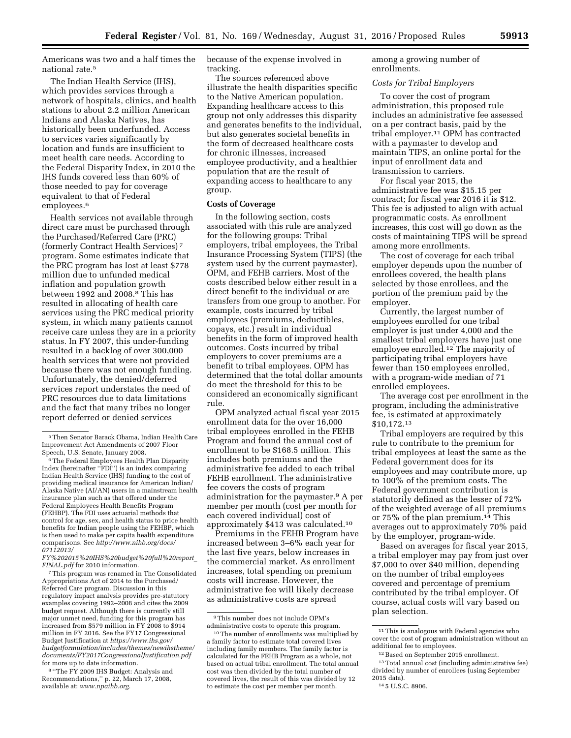Americans was two and a half times the national rate.5

The Indian Health Service (IHS), which provides services through a network of hospitals, clinics, and health stations to about 2.2 million American Indians and Alaska Natives, has historically been underfunded. Access to services varies significantly by location and funds are insufficient to meet health care needs. According to the Federal Disparity Index, in 2010 the IHS funds covered less than 60% of those needed to pay for coverage equivalent to that of Federal employees.<sup>6</sup>

Health services not available through direct care must be purchased through the Purchased/Referred Care (PRC) (formerly Contract Health Services) 7 program. Some estimates indicate that the PRC program has lost at least \$778 million due to unfunded medical inflation and population growth between 1992 and 2008.8 This has resulted in allocating of health care services using the PRC medical priority system, in which many patients cannot receive care unless they are in a priority status. In FY 2007, this under-funding resulted in a backlog of over 300,000 health services that were not provided because there was not enough funding. Unfortunately, the denied/deferred services report understates the need of PRC resources due to data limitations and the fact that many tribes no longer report deferred or denied services

*[FY%202015%20IHS%20budget%20full%20report](http://www.nihb.org/docs/07112013/FY%202015%20IHS%20budget%20full%20report_FINAL.pdf)*\_ *[FINAL.pdf](http://www.nihb.org/docs/07112013/FY%202015%20IHS%20budget%20full%20report_FINAL.pdf)* for 2010 information.

7This program was renamed in The Consolidated Appropriations Act of 2014 to the Purchased/ Referred Care program. Discussion in this regulatory impact analysis provides pre-statutory examples covering 1992–2008 and cites the 2009 budget request. Although there is currently still major unmet need, funding for this program has increased from \$579 million in FY 2008 to \$914 million in FY 2016. See the FY17 Congressional Budget Justification at *[https://www.ihs.gov/](https://www.ihs.gov/budgetformulation/includes/themes/newihstheme/documents/FY2017CongressionalJustification.pdf)  [budgetformulation/includes/themes/newihstheme/](https://www.ihs.gov/budgetformulation/includes/themes/newihstheme/documents/FY2017CongressionalJustification.pdf)  [documents/FY2017CongressionalJustification.pdf](https://www.ihs.gov/budgetformulation/includes/themes/newihstheme/documents/FY2017CongressionalJustification.pdf)*  for more up to date information.

8 ''The FY 2009 IHS Budget: Analysis and Recommendations,'' p. 22, March 17, 2008, available at: *[www.npaihb.org.](http://www.npaihb.org)* 

because of the expense involved in tracking.

The sources referenced above illustrate the health disparities specific to the Native American population. Expanding healthcare access to this group not only addresses this disparity and generates benefits to the individual, but also generates societal benefits in the form of decreased healthcare costs for chronic illnesses, increased employee productivity, and a healthier population that are the result of expanding access to healthcare to any group.

## **Costs of Coverage**

In the following section, costs associated with this rule are analyzed for the following groups: Tribal employers, tribal employees, the Tribal Insurance Processing System (TIPS) (the system used by the current paymaster), OPM, and FEHB carriers. Most of the costs described below either result in a direct benefit to the individual or are transfers from one group to another. For example, costs incurred by tribal employees (premiums, deductibles, copays, etc.) result in individual benefits in the form of improved health outcomes. Costs incurred by tribal employers to cover premiums are a benefit to tribal employees. OPM has determined that the total dollar amounts do meet the threshold for this to be considered an economically significant rule.

OPM analyzed actual fiscal year 2015 enrollment data for the over 16,000 tribal employees enrolled in the FEHB Program and found the annual cost of enrollment to be \$168.5 million. This includes both premiums and the administrative fee added to each tribal FEHB enrollment. The administrative fee covers the costs of program administration for the paymaster.9 A per member per month (cost per month for each covered individual) cost of approximately \$413 was calculated.10

Premiums in the FEHB Program have increased between 3–6% each year for the last five years, below increases in the commercial market. As enrollment increases, total spending on premium costs will increase. However, the administrative fee will likely decrease as administrative costs are spread

among a growing number of enrollments.

## *Costs for Tribal Employers*

To cover the cost of program administration, this proposed rule includes an administrative fee assessed on a per contract basis, paid by the tribal employer.11 OPM has contracted with a paymaster to develop and maintain TIPS, an online portal for the input of enrollment data and transmission to carriers.

For fiscal year 2015, the administrative fee was \$15.15 per contract; for fiscal year 2016 it is \$12. This fee is adjusted to align with actual programmatic costs. As enrollment increases, this cost will go down as the costs of maintaining TIPS will be spread among more enrollments.

The cost of coverage for each tribal employer depends upon the number of enrollees covered, the health plans selected by those enrollees, and the portion of the premium paid by the employer.

Currently, the largest number of employees enrolled for one tribal employer is just under 4,000 and the smallest tribal employers have just one employee enrolled.12 The majority of participating tribal employers have fewer than 150 employees enrolled, with a program-wide median of 71 enrolled employees.

The average cost per enrollment in the program, including the administrative fee, is estimated at approximately \$10,172.13

Tribal employers are required by this rule to contribute to the premium for tribal employees at least the same as the Federal government does for its employees and may contribute more, up to 100% of the premium costs. The Federal government contribution is statutorily defined as the lesser of 72% of the weighted average of all premiums or 75% of the plan premium.14 This averages out to approximately 70% paid by the employer, program-wide.

Based on averages for fiscal year 2015, a tribal employer may pay from just over \$7,000 to over \$40 million, depending on the number of tribal employees covered and percentage of premium contributed by the tribal employer. Of course, actual costs will vary based on plan selection.

<sup>5</sup>Then Senator Barack Obama, Indian Health Care Improvement Act Amendments of 2007 Floor Speech, U.S. Senate, January 2008.

<sup>6</sup>The Federal Employees Health Plan Disparity Index (hereinafter ''FDI'') is an index comparing Indian Health Service (IHS) funding to the cost of providing medical insurance for American Indian/ Alaska Native (AI/AN) users in a mainstream health insurance plan such as that offered under the Federal Employees Health Benefits Program (FEHBP). The FDI uses actuarial methods that control for age, sex, and health status to price health benefits for Indian people using the FEHBP, which is then used to make per capita health expenditure comparisons. See *[http://www.nihb.org/docs/](http://www.nihb.org/docs/07112013/FY%202015%20IHS%20budget%20full%20report_FINAL.pdf) [07112013/](http://www.nihb.org/docs/07112013/FY%202015%20IHS%20budget%20full%20report_FINAL.pdf)* 

<sup>9</sup>This number does not include OPM's administrative costs to operate this program.

<sup>10</sup>The number of enrollments was multiplied by a family factor to estimate total covered lives including family members. The family factor is calculated for the FEHB Program as a whole, not based on actual tribal enrollment. The total annual cost was then divided by the total number of covered lives, the result of this was divided by 12 to estimate the cost per member per month.

<sup>&</sup>lt;sup>11</sup>This is analogous with Federal agencies who cover the cost of program administration without an additional fee to employees.

<sup>12</sup>Based on September 2015 enrollment.

<sup>13</sup>Total annual cost (including administrative fee) divided by number of enrollees (using September 2015 data).

<sup>14</sup> 5 U.S.C. 8906.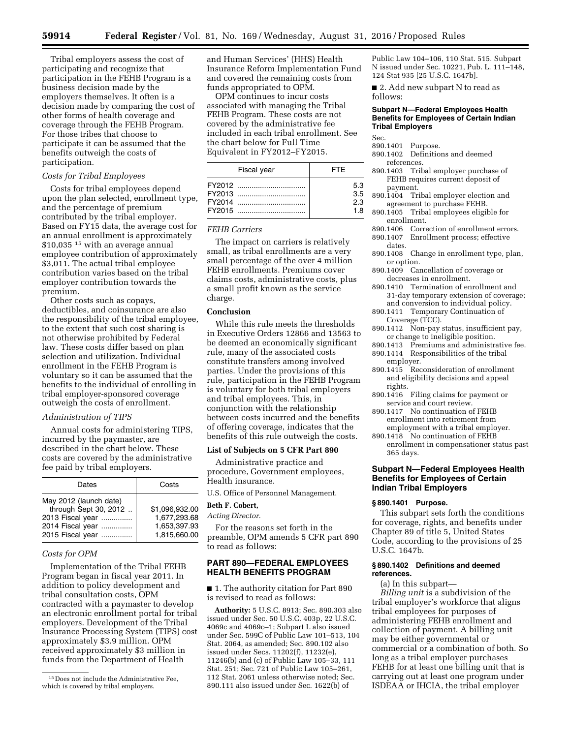Tribal employers assess the cost of participating and recognize that participation in the FEHB Program is a business decision made by the employers themselves. It often is a decision made by comparing the cost of other forms of health coverage and coverage through the FEHB Program. For those tribes that choose to participate it can be assumed that the benefits outweigh the costs of participation.

#### *Costs for Tribal Employees*

Costs for tribal employees depend upon the plan selected, enrollment type, and the percentage of premium contributed by the tribal employer. Based on FY15 data, the average cost for an annual enrollment is approximately \$10,035<sup>15</sup> with an average annual employee contribution of approximately \$3,011. The actual tribal employee contribution varies based on the tribal employer contribution towards the premium.

Other costs such as copays, deductibles, and coinsurance are also the responsibility of the tribal employee, to the extent that such cost sharing is not otherwise prohibited by Federal law. These costs differ based on plan selection and utilization. Individual enrollment in the FEHB Program is voluntary so it can be assumed that the benefits to the individual of enrolling in tribal employer-sponsored coverage outweigh the costs of enrollment.

#### *Administration of TIPS*

Annual costs for administering TIPS, incurred by the paymaster, are described in the chart below. These costs are covered by the administrative fee paid by tribal employers.

| Dates                                                                                                       | Costs                                                          |
|-------------------------------------------------------------------------------------------------------------|----------------------------------------------------------------|
| May 2012 (launch date)<br>through Sept 30, 2012<br>2013 Fiscal year<br>2014 Fiscal year<br>2015 Fiscal year | \$1.096.932.00<br>1,677,293.68<br>1,653,397.93<br>1,815,660.00 |

## *Costs for OPM*

Implementation of the Tribal FEHB Program began in fiscal year 2011. In addition to policy development and tribal consultation costs, OPM contracted with a paymaster to develop an electronic enrollment portal for tribal employers. Development of the Tribal Insurance Processing System (TIPS) cost approximately \$3.9 million. OPM received approximately \$3 million in funds from the Department of Health

and Human Services' (HHS) Health Insurance Reform Implementation Fund and covered the remaining costs from funds appropriated to OPM.

OPM continues to incur costs associated with managing the Tribal FEHB Program. These costs are not covered by the administrative fee included in each tribal enrollment. See the chart below for Full Time Equivalent in FY2012–FY2015.

| Fiscal year | <b>FTF</b> |
|-------------|------------|
|             | 5.3        |
| FY2013      | 3.5        |
| FY2014      | 23         |
| FY2015      | 1 R        |

#### *FEHB Carriers*

The impact on carriers is relatively small, as tribal enrollments are a very small percentage of the over 4 million FEHB enrollments. Premiums cover claims costs, administrative costs, plus a small profit known as the service charge.

## **Conclusion**

While this rule meets the thresholds in Executive Orders 12866 and 13563 to be deemed an economically significant rule, many of the associated costs constitute transfers among involved parties. Under the provisions of this rule, participation in the FEHB Program is voluntary for both tribal employers and tribal employees. This, in conjunction with the relationship between costs incurred and the benefits of offering coverage, indicates that the benefits of this rule outweigh the costs.

#### **List of Subjects on 5 CFR Part 890**

Administrative practice and procedure, Government employees, Health insurance.

U.S. Office of Personnel Management.

# **Beth F. Cobert,**

*Acting Director.* 

For the reasons set forth in the preamble, OPM amends 5 CFR part 890 to read as follows:

## **PART 890—FEDERAL EMPLOYEES HEALTH BENEFITS PROGRAM**

■ 1. The authority citation for Part 890 is revised to read as follows:

**Authority:** 5 U.S.C. 8913; Sec. 890.303 also issued under Sec. 50 U.S.C. 403p, 22 U.S.C. 4069c and 4069c–1; Subpart L also issued under Sec. 599C of Public Law 101–513, 104 Stat. 2064, as amended; Sec. 890.102 also issued under Secs. 11202(f), 11232(e), 11246(b) and (c) of Public Law 105–33, 111 Stat. 251; Sec. 721 of Public Law 105–261, 112 Stat. 2061 unless otherwise noted; Sec. 890.111 also issued under Sec. 1622(b) of

Public Law 104–106, 110 Stat. 515. Subpart N issued under Sec. 10221, Pub. L. 111–148, 124 Stat 935 [25 U.S.C. 1647b].

■ 2. Add new subpart N to read as follows:

#### **Subpart N—Federal Employees Health Benefits for Employees of Certain Indian Tribal Employers**

#### Sec.

- 890.1401 Purpose.
- 890.1402 Definitions and deemed references.
- 890.1403 Tribal employer purchase of FEHB requires current deposit of payment.
- 890.1404 Tribal employer election and agreement to purchase FEHB.
- 890.1405 Tribal employees eligible for
- enrollment.<br>890.1406 Corre Correction of enrollment errors. 890.1407 Enrollment process; effective
- dates. 890.1408 Change in enrollment type, plan,
- or option.
- 890.1409 Cancellation of coverage or decreases in enrollment.
- 890.1410 Termination of enrollment and 31-day temporary extension of coverage; and conversion to individual policy.
- 890.1411 Temporary Continuation of Coverage (TCC).
- 890.1412 Non-pay status, insufficient pay, or change to ineligible position.
- 890.1413 Premiums and administrative fee. 890.1414 Responsibilities of the tribal
- employer. 890.1415 Reconsideration of enrollment and eligibility decisions and appeal rights.
- 890.1416 Filing claims for payment or service and court review.
- 890.1417 No continuation of FEHB enrollment into retirement from employment with a tribal employer.
- 890.1418 No continuation of FEHB enrollment in compensationer status past 365 days.

## **Subpart N—Federal Employees Health Benefits for Employees of Certain Indian Tribal Employers**

#### **§ 890.1401 Purpose.**

This subpart sets forth the conditions for coverage, rights, and benefits under Chapter 89 of title 5, United States Code, according to the provisions of 25 U.S.C. 1647b.

#### **§ 890.1402 Definitions and deemed references.**

(a) In this subpart—

*Billing unit* is a subdivision of the tribal employer's workforce that aligns tribal employees for purposes of administering FEHB enrollment and collection of payment. A billing unit may be either governmental or commercial or a combination of both. So long as a tribal employer purchases FEHB for at least one billing unit that is carrying out at least one program under ISDEAA or IHCIA, the tribal employer

<sup>15</sup> Does not include the Administrative Fee, which is covered by tribal employers.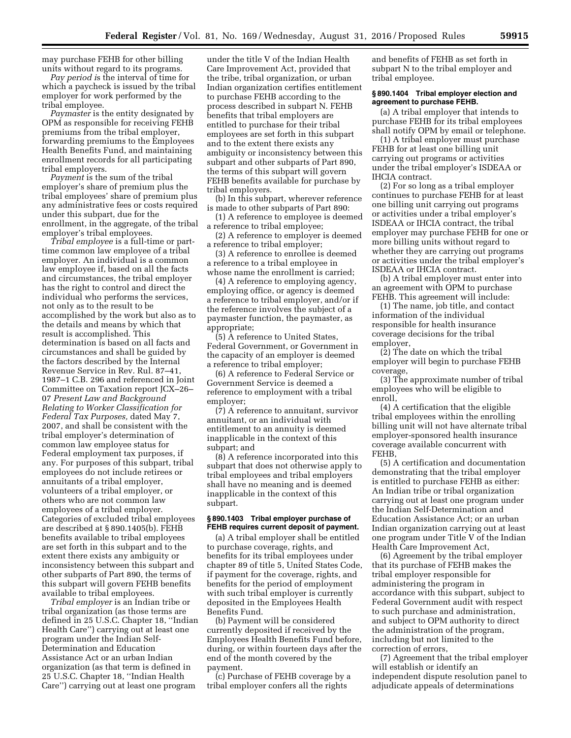may purchase FEHB for other billing units without regard to its programs.

*Pay period i*s the interval of time for which a paycheck is issued by the tribal employer for work performed by the tribal employee.

*Paymaster* is the entity designated by OPM as responsible for receiving FEHB premiums from the tribal employer, forwarding premiums to the Employees Health Benefits Fund, and maintaining enrollment records for all participating tribal employers.

*Payment* is the sum of the tribal employer's share of premium plus the tribal employees' share of premium plus any administrative fees or costs required under this subpart, due for the enrollment, in the aggregate, of the tribal employer's tribal employees.

*Tribal employee* is a full-time or parttime common law employee of a tribal employer. An individual is a common law employee if, based on all the facts and circumstances, the tribal employer has the right to control and direct the individual who performs the services, not only as to the result to be accomplished by the work but also as to the details and means by which that result is accomplished. This determination is based on all facts and circumstances and shall be guided by the factors described by the Internal Revenue Service in Rev. Rul. 87–41, 1987–1 C.B. 296 and referenced in Joint Committee on Taxation report JCX–26– 07 *Present Law and Background Relating to Worker Classification for Federal Tax Purposes,* dated May 7, 2007, and shall be consistent with the tribal employer's determination of common law employee status for Federal employment tax purposes, if any. For purposes of this subpart, tribal employees do not include retirees or annuitants of a tribal employer, volunteers of a tribal employer, or others who are not common law employees of a tribal employer. Categories of excluded tribal employees are described at § 890.1405(b). FEHB benefits available to tribal employees are set forth in this subpart and to the extent there exists any ambiguity or inconsistency between this subpart and other subparts of Part 890, the terms of this subpart will govern FEHB benefits available to tribal employees.

*Tribal employer* is an Indian tribe or tribal organization (as those terms are defined in 25 U.S.C. Chapter 18, ''Indian Health Care'') carrying out at least one program under the Indian Self-Determination and Education Assistance Act or an urban Indian organization (as that term is defined in 25 U.S.C. Chapter 18, ''Indian Health Care'') carrying out at least one program

under the title V of the Indian Health Care Improvement Act, provided that the tribe, tribal organization, or urban Indian organization certifies entitlement to purchase FEHB according to the process described in subpart N. FEHB benefits that tribal employers are entitled to purchase for their tribal employees are set forth in this subpart and to the extent there exists any ambiguity or inconsistency between this subpart and other subparts of Part 890, the terms of this subpart will govern FEHB benefits available for purchase by tribal employers.

(b) In this subpart, wherever reference is made to other subparts of Part 890:

(1) A reference to employee is deemed a reference to tribal employee;

(2) A reference to employer is deemed a reference to tribal employer;

(3) A reference to enrollee is deemed a reference to a tribal employee in whose name the enrollment is carried;

(4) A reference to employing agency, employing office, or agency is deemed a reference to tribal employer, and/or if the reference involves the subject of a paymaster function, the paymaster, as appropriate;

(5) A reference to United States, Federal Government, or Government in the capacity of an employer is deemed a reference to tribal employer;

(6) A reference to Federal Service or Government Service is deemed a reference to employment with a tribal employer;

(7) A reference to annuitant, survivor annuitant, or an individual with entitlement to an annuity is deemed inapplicable in the context of this subpart; and

(8) A reference incorporated into this subpart that does not otherwise apply to tribal employees and tribal employers shall have no meaning and is deemed inapplicable in the context of this subpart.

#### **§ 890.1403 Tribal employer purchase of FEHB requires current deposit of payment.**

(a) A tribal employer shall be entitled to purchase coverage, rights, and benefits for its tribal employees under chapter 89 of title 5, United States Code, if payment for the coverage, rights, and benefits for the period of employment with such tribal employer is currently deposited in the Employees Health Benefits Fund.

(b) Payment will be considered currently deposited if received by the Employees Health Benefits Fund before, during, or within fourteen days after the end of the month covered by the payment.

(c) Purchase of FEHB coverage by a tribal employer confers all the rights

and benefits of FEHB as set forth in subpart N to the tribal employer and tribal employee.

#### **§ 890.1404 Tribal employer election and agreement to purchase FEHB.**

(a) A tribal employer that intends to purchase FEHB for its tribal employees shall notify OPM by email or telephone.

(1) A tribal employer must purchase FEHB for at least one billing unit carrying out programs or activities under the tribal employer's ISDEAA or IHCIA contract.

(2) For so long as a tribal employer continues to purchase FEHB for at least one billing unit carrying out programs or activities under a tribal employer's ISDEAA or IHCIA contract, the tribal employer may purchase FEHB for one or more billing units without regard to whether they are carrying out programs or activities under the tribal employer's ISDEAA or IHCIA contract.

(b) A tribal employer must enter into an agreement with OPM to purchase FEHB. This agreement will include:

(1) The name, job title, and contact information of the individual responsible for health insurance coverage decisions for the tribal employer,

(2) The date on which the tribal employer will begin to purchase FEHB coverage,

(3) The approximate number of tribal employees who will be eligible to enroll,

(4) A certification that the eligible tribal employees within the enrolling billing unit will not have alternate tribal employer-sponsored health insurance coverage available concurrent with FEHB,

(5) A certification and documentation demonstrating that the tribal employer is entitled to purchase FEHB as either: An Indian tribe or tribal organization carrying out at least one program under the Indian Self-Determination and Education Assistance Act; or an urban Indian organization carrying out at least one program under Title V of the Indian Health Care Improvement Act,

(6) Agreement by the tribal employer that its purchase of FEHB makes the tribal employer responsible for administering the program in accordance with this subpart, subject to Federal Government audit with respect to such purchase and administration, and subject to OPM authority to direct the administration of the program, including but not limited to the correction of errors,

(7) Agreement that the tribal employer will establish or identify an independent dispute resolution panel to adjudicate appeals of determinations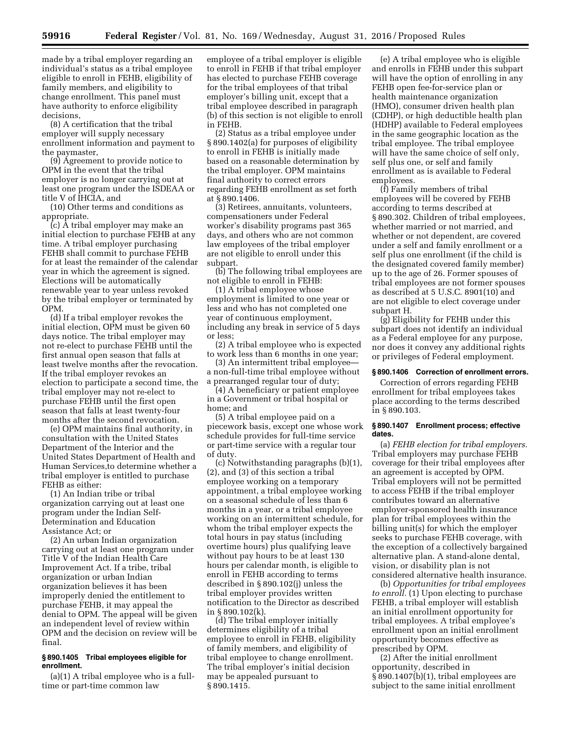made by a tribal employer regarding an individual's status as a tribal employee eligible to enroll in FEHB, eligibility of family members, and eligibility to change enrollment. This panel must have authority to enforce eligibility decisions,

(8) A certification that the tribal employer will supply necessary enrollment information and payment to the paymaster,

(9) Agreement to provide notice to OPM in the event that the tribal employer is no longer carrying out at least one program under the ISDEAA or title V of IHCIA, and

(10) Other terms and conditions as appropriate.

(c) A tribal employer may make an initial election to purchase FEHB at any time. A tribal employer purchasing FEHB shall commit to purchase FEHB for at least the remainder of the calendar year in which the agreement is signed. Elections will be automatically renewable year to year unless revoked by the tribal employer or terminated by OPM.

(d) If a tribal employer revokes the initial election, OPM must be given 60 days notice. The tribal employer may not re-elect to purchase FEHB until the first annual open season that falls at least twelve months after the revocation. If the tribal employer revokes an election to participate a second time, the tribal employer may not re-elect to purchase FEHB until the first open season that falls at least twenty-four months after the second revocation.

(e) OPM maintains final authority, in consultation with the United States Department of the Interior and the United States Department of Health and Human Services,to determine whether a tribal employer is entitled to purchase FEHB as either:

(1) An Indian tribe or tribal organization carrying out at least one program under the Indian Self-Determination and Education Assistance Act; or

(2) An urban Indian organization carrying out at least one program under Title V of the Indian Health Care Improvement Act. If a tribe, tribal organization or urban Indian organization believes it has been improperly denied the entitlement to purchase FEHB, it may appeal the denial to OPM. The appeal will be given an independent level of review within OPM and the decision on review will be final.

## **§ 890.1405 Tribal employees eligible for enrollment.**

(a)(1) A tribal employee who is a fulltime or part-time common law

employee of a tribal employer is eligible to enroll in FEHB if that tribal employer has elected to purchase FEHB coverage for the tribal employees of that tribal employer's billing unit, except that a tribal employee described in paragraph (b) of this section is not eligible to enroll in FEHB.

(2) Status as a tribal employee under § 890.1402(a) for purposes of eligibility to enroll in FEHB is initially made based on a reasonable determination by the tribal employer. OPM maintains final authority to correct errors regarding FEHB enrollment as set forth at § 890.1406.

(3) Retirees, annuitants, volunteers, compensationers under Federal worker's disability programs past 365 days, and others who are not common law employees of the tribal employer are not eligible to enroll under this subpart.

(b) The following tribal employees are not eligible to enroll in FEHB:

(1) A tribal employee whose employment is limited to one year or less and who has not completed one year of continuous employment, including any break in service of 5 days or less;

(2) A tribal employee who is expected to work less than 6 months in one year;

(3) An intermittent tribal employee a non-full-time tribal employee without a prearranged regular tour of duty;

(4) A beneficiary or patient employee in a Government or tribal hospital or home; and

(5) A tribal employee paid on a piecework basis, except one whose work schedule provides for full-time service or part-time service with a regular tour of duty.

(c) Notwithstanding paragraphs (b)(1), (2), and (3) of this section a tribal employee working on a temporary appointment, a tribal employee working on a seasonal schedule of less than 6 months in a year, or a tribal employee working on an intermittent schedule, for whom the tribal employer expects the total hours in pay status (including overtime hours) plus qualifying leave without pay hours to be at least 130 hours per calendar month, is eligible to enroll in FEHB according to terms described in § 890.102(j) unless the tribal employer provides written notification to the Director as described in § 890.102(k).

(d) The tribal employer initially determines eligibility of a tribal employee to enroll in FEHB, eligibility of family members, and eligibility of tribal employee to change enrollment. The tribal employer's initial decision may be appealed pursuant to § 890.1415.

(e) A tribal employee who is eligible and enrolls in FEHB under this subpart will have the option of enrolling in any FEHB open fee-for-service plan or health maintenance organization (HMO), consumer driven health plan (CDHP), or high deductible health plan (HDHP) available to Federal employees in the same geographic location as the tribal employee. The tribal employee will have the same choice of self only, self plus one, or self and family enrollment as is available to Federal employees.

(f) Family members of tribal employees will be covered by FEHB according to terms described at § 890.302. Children of tribal employees, whether married or not married, and whether or not dependent, are covered under a self and family enrollment or a self plus one enrollment (if the child is the designated covered family member) up to the age of 26. Former spouses of tribal employees are not former spouses as described at 5 U.S.C. 8901(10) and are not eligible to elect coverage under subpart H.

(g) Eligibility for FEHB under this subpart does not identify an individual as a Federal employee for any purpose, nor does it convey any additional rights or privileges of Federal employment.

## **§ 890.1406 Correction of enrollment errors.**

Correction of errors regarding FEHB enrollment for tribal employees takes place according to the terms described in § 890.103.

#### **§ 890.1407 Enrollment process; effective dates.**

(a) *FEHB election for tribal employers.*  Tribal employers may purchase FEHB coverage for their tribal employees after an agreement is accepted by OPM. Tribal employers will not be permitted to access FEHB if the tribal employer contributes toward an alternative employer-sponsored health insurance plan for tribal employees within the billing unit(s) for which the employer seeks to purchase FEHB coverage, with the exception of a collectively bargained alternative plan. A stand-alone dental, vision, or disability plan is not considered alternative health insurance.

(b) *Opportunities for tribal employees to enroll.* (1) Upon electing to purchase FEHB, a tribal employer will establish an initial enrollment opportunity for tribal employees. A tribal employee's enrollment upon an initial enrollment opportunity becomes effective as prescribed by OPM.

(2) After the initial enrollment opportunity, described in § 890.1407(b)(1), tribal employees are subject to the same initial enrollment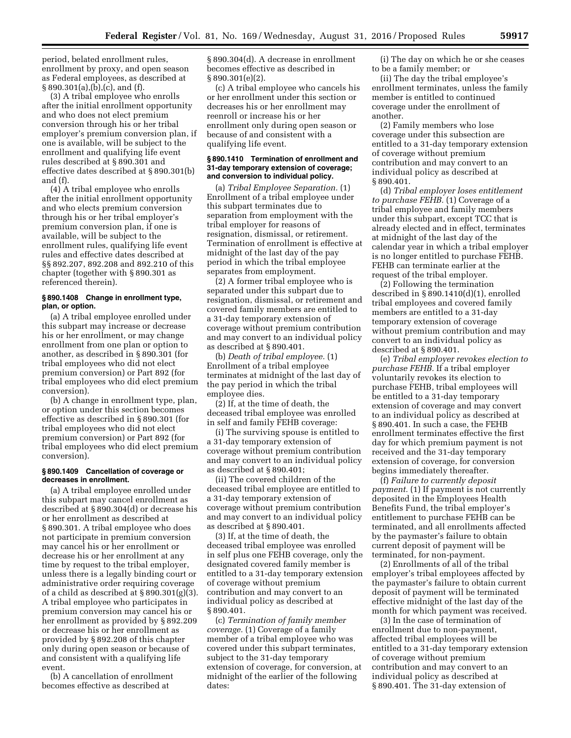period, belated enrollment rules, enrollment by proxy, and open season as Federal employees, as described at § 890.301(a),(b),(c), and (f).

(3) A tribal employee who enrolls after the initial enrollment opportunity and who does not elect premium conversion through his or her tribal employer's premium conversion plan, if one is available, will be subject to the enrollment and qualifying life event rules described at § 890.301 and effective dates described at § 890.301(b) and (f).

(4) A tribal employee who enrolls after the initial enrollment opportunity and who elects premium conversion through his or her tribal employer's premium conversion plan, if one is available, will be subject to the enrollment rules, qualifying life event rules and effective dates described at §§ 892.207, 892.208 and 892.210 of this chapter (together with § 890.301 as referenced therein).

## **§ 890.1408 Change in enrollment type, plan, or option.**

(a) A tribal employee enrolled under this subpart may increase or decrease his or her enrollment, or may change enrollment from one plan or option to another, as described in § 890.301 (for tribal employees who did not elect premium conversion) or Part 892 (for tribal employees who did elect premium conversion).

(b) A change in enrollment type, plan, or option under this section becomes effective as described in § 890.301 (for tribal employees who did not elect premium conversion) or Part 892 (for tribal employees who did elect premium conversion).

## **§ 890.1409 Cancellation of coverage or decreases in enrollment.**

(a) A tribal employee enrolled under this subpart may cancel enrollment as described at § 890.304(d) or decrease his or her enrollment as described at § 890.301. A tribal employee who does not participate in premium conversion may cancel his or her enrollment or decrease his or her enrollment at any time by request to the tribal employer, unless there is a legally binding court or administrative order requiring coverage of a child as described at § 890.301(g)(3). A tribal employee who participates in premium conversion may cancel his or her enrollment as provided by § 892.209 or decrease his or her enrollment as provided by § 892.208 of this chapter only during open season or because of and consistent with a qualifying life event.

(b) A cancellation of enrollment becomes effective as described at

§ 890.304(d). A decrease in enrollment becomes effective as described in § 890.301(e)(2).

(c) A tribal employee who cancels his or her enrollment under this section or decreases his or her enrollment may reenroll or increase his or her enrollment only during open season or because of and consistent with a qualifying life event.

#### **§ 890.1410 Termination of enrollment and 31-day temporary extension of coverage; and conversion to individual policy.**

(a) *Tribal Employee Separation.* (1) Enrollment of a tribal employee under this subpart terminates due to separation from employment with the tribal employer for reasons of resignation, dismissal, or retirement. Termination of enrollment is effective at midnight of the last day of the pay period in which the tribal employee separates from employment.

(2) A former tribal employee who is separated under this subpart due to resignation, dismissal, or retirement and covered family members are entitled to a 31-day temporary extension of coverage without premium contribution and may convert to an individual policy as described at § 890.401.

(b) *Death of tribal employee.* (1) Enrollment of a tribal employee terminates at midnight of the last day of the pay period in which the tribal employee dies.

(2) If, at the time of death, the deceased tribal employee was enrolled in self and family FEHB coverage:

(i) The surviving spouse is entitled to a 31-day temporary extension of coverage without premium contribution and may convert to an individual policy as described at § 890.401;

(ii) The covered children of the deceased tribal employee are entitled to a 31-day temporary extension of coverage without premium contribution and may convert to an individual policy as described at § 890.401.

(3) If, at the time of death, the deceased tribal employee was enrolled in self plus one FEHB coverage, only the designated covered family member is entitled to a 31-day temporary extension of coverage without premium contribution and may convert to an individual policy as described at § 890.401.

(c) *Termination of family member coverage.* (1) Coverage of a family member of a tribal employee who was covered under this subpart terminates, subject to the 31-day temporary extension of coverage, for conversion, at midnight of the earlier of the following dates:

(i) The day on which he or she ceases to be a family member; or

(ii) The day the tribal employee's enrollment terminates, unless the family member is entitled to continued coverage under the enrollment of another.

(2) Family members who lose coverage under this subsection are entitled to a 31-day temporary extension of coverage without premium contribution and may convert to an individual policy as described at § 890.401.

(d) *Tribal employer loses entitlement to purchase FEHB.* (1) Coverage of a tribal employee and family members under this subpart, except TCC that is already elected and in effect, terminates at midnight of the last day of the calendar year in which a tribal employer is no longer entitled to purchase FEHB. FEHB can terminate earlier at the request of the tribal employer.

(2) Following the termination described in § 890.1410(d)(1), enrolled tribal employees and covered family members are entitled to a 31-day temporary extension of coverage without premium contribution and may convert to an individual policy as described at § 890.401.

(e) *Tribal employer revokes election to purchase FEHB.* If a tribal employer voluntarily revokes its election to purchase FEHB, tribal employees will be entitled to a 31-day temporary extension of coverage and may convert to an individual policy as described at § 890.401. In such a case, the FEHB enrollment terminates effective the first day for which premium payment is not received and the 31-day temporary extension of coverage, for conversion begins immediately thereafter.

(f) *Failure to currently deposit payment.* (1) If payment is not currently deposited in the Employees Health Benefits Fund, the tribal employer's entitlement to purchase FEHB can be terminated, and all enrollments affected by the paymaster's failure to obtain current deposit of payment will be terminated, for non-payment.

(2) Enrollments of all of the tribal employer's tribal employees affected by the paymaster's failure to obtain current deposit of payment will be terminated effective midnight of the last day of the month for which payment was received.

(3) In the case of termination of enrollment due to non-payment, affected tribal employees will be entitled to a 31-day temporary extension of coverage without premium contribution and may convert to an individual policy as described at § 890.401. The 31-day extension of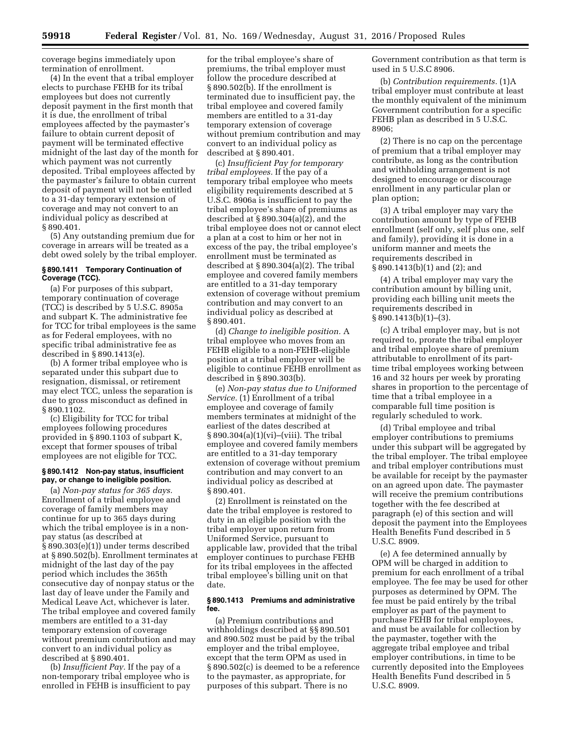coverage begins immediately upon

termination of enrollment. (4) In the event that a tribal employer elects to purchase FEHB for its tribal employees but does not currently deposit payment in the first month that it is due, the enrollment of tribal employees affected by the paymaster's failure to obtain current deposit of payment will be terminated effective midnight of the last day of the month for which payment was not currently deposited. Tribal employees affected by the paymaster's failure to obtain current deposit of payment will not be entitled to a 31-day temporary extension of coverage and may not convert to an individual policy as described at § 890.401.

(5) Any outstanding premium due for coverage in arrears will be treated as a debt owed solely by the tribal employer.

## **§ 890.1411 Temporary Continuation of Coverage (TCC).**

(a) For purposes of this subpart, temporary continuation of coverage (TCC) is described by 5 U.S.C. 8905a and subpart K. The administrative fee for TCC for tribal employees is the same as for Federal employees, with no specific tribal administrative fee as described in § 890.1413(e).

(b) A former tribal employee who is separated under this subpart due to resignation, dismissal, or retirement may elect TCC, unless the separation is due to gross misconduct as defined in § 890.1102.

(c) Eligibility for TCC for tribal employees following procedures provided in § 890.1103 of subpart K, except that former spouses of tribal employees are not eligible for TCC.

#### **§ 890.1412 Non-pay status, insufficient pay, or change to ineligible position.**

(a) *Non-pay status for 365 days.*  Enrollment of a tribal employee and coverage of family members may continue for up to 365 days during which the tribal employee is in a nonpay status (as described at § 890.303(e)(1)) under terms described at § 890.502(b). Enrollment terminates at midnight of the last day of the pay period which includes the 365th consecutive day of nonpay status or the last day of leave under the Family and Medical Leave Act, whichever is later. The tribal employee and covered family members are entitled to a 31-day temporary extension of coverage without premium contribution and may convert to an individual policy as described at § 890.401.

(b) *Insufficient Pay.* If the pay of a non-temporary tribal employee who is enrolled in FEHB is insufficient to pay

for the tribal employee's share of premiums, the tribal employer must follow the procedure described at § 890.502(b). If the enrollment is terminated due to insufficient pay, the tribal employee and covered family members are entitled to a 31-day temporary extension of coverage without premium contribution and may convert to an individual policy as described at § 890.401.

(c) *Insufficient Pay for temporary tribal employees.* If the pay of a temporary tribal employee who meets eligibility requirements described at 5 U.S.C. 8906a is insufficient to pay the tribal employee's share of premiums as described at § 890.304(a)(2), and the tribal employee does not or cannot elect a plan at a cost to him or her not in excess of the pay, the tribal employee's enrollment must be terminated as described at § 890.304(a)(2). The tribal employee and covered family members are entitled to a 31-day temporary extension of coverage without premium contribution and may convert to an individual policy as described at § 890.401.

(d) *Change to ineligible position.* A tribal employee who moves from an FEHB eligible to a non-FEHB-eligible position at a tribal employer will be eligible to continue FEHB enrollment as described in § 890.303(b).

(e) *Non-pay status due to Uniformed Service.* (1) Enrollment of a tribal employee and coverage of family members terminates at midnight of the earliest of the dates described at § 890.304(a)(1)(vi)–(viii). The tribal employee and covered family members are entitled to a 31-day temporary extension of coverage without premium contribution and may convert to an individual policy as described at § 890.401.

(2) Enrollment is reinstated on the date the tribal employee is restored to duty in an eligible position with the tribal employer upon return from Uniformed Service, pursuant to applicable law, provided that the tribal employer continues to purchase FEHB for its tribal employees in the affected tribal employee's billing unit on that date.

#### **§ 890.1413 Premiums and administrative fee.**

(a) Premium contributions and withholdings described at §§ 890.501 and 890.502 must be paid by the tribal employer and the tribal employee, except that the term OPM as used in § 890.502(c) is deemed to be a reference to the paymaster, as appropriate, for purposes of this subpart. There is no

Government contribution as that term is used in 5 U.S.C 8906.

(b) *Contribution requirements.* (1)A tribal employer must contribute at least the monthly equivalent of the minimum Government contribution for a specific FEHB plan as described in 5 U.S.C.  $8906$ 

(2) There is no cap on the percentage of premium that a tribal employer may contribute, as long as the contribution and withholding arrangement is not designed to encourage or discourage enrollment in any particular plan or plan option;

(3) A tribal employer may vary the contribution amount by type of FEHB enrollment (self only, self plus one, self and family), providing it is done in a uniform manner and meets the requirements described in § 890.1413(b)(1) and (2); and

(4) A tribal employer may vary the contribution amount by billing unit, providing each billing unit meets the requirements described in § 890.1413(b)(1)–(3).

(c) A tribal employer may, but is not required to, prorate the tribal employer and tribal employee share of premium attributable to enrollment of its parttime tribal employees working between 16 and 32 hours per week by prorating shares in proportion to the percentage of time that a tribal employee in a comparable full time position is regularly scheduled to work.

(d) Tribal employee and tribal employer contributions to premiums under this subpart will be aggregated by the tribal employer. The tribal employee and tribal employer contributions must be available for receipt by the paymaster on an agreed upon date. The paymaster will receive the premium contributions together with the fee described at paragraph (e) of this section and will deposit the payment into the Employees Health Benefits Fund described in 5 U.S.C. 8909.

(e) A fee determined annually by OPM will be charged in addition to premium for each enrollment of a tribal employee. The fee may be used for other purposes as determined by OPM. The fee must be paid entirely by the tribal employer as part of the payment to purchase FEHB for tribal employees, and must be available for collection by the paymaster, together with the aggregate tribal employee and tribal employer contributions, in time to be currently deposited into the Employees Health Benefits Fund described in 5 U.S.C. 8909.